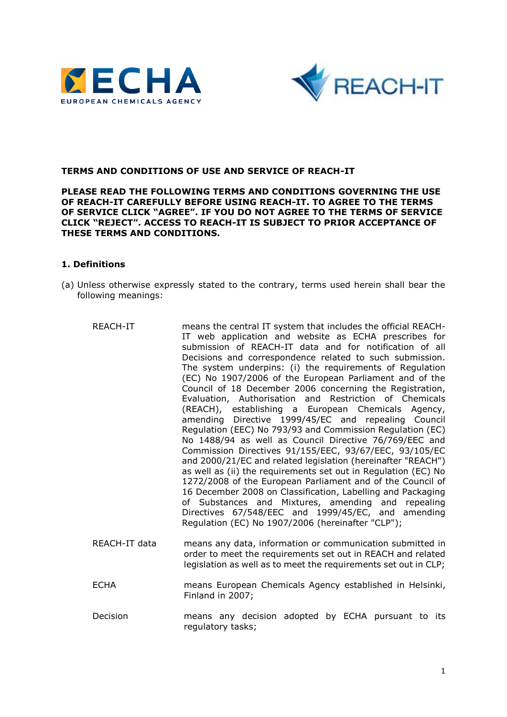



#### **TERMS AND CONDITIONS OF USE AND SERVICE OF REACH-IT**

#### **PLEASE READ THE FOLLOWING TERMS AND CONDITIONS GOVERNING THE USE OF REACH-IT CAREFULLY BEFORE USING REACH-IT. TO AGREE TO THE TERMS OF SERVICE CLICK "AGREE". IF YOU DO NOT AGREE TO THE TERMS OF SERVICE CLICK "REJECT". ACCESS TO REACH-IT IS SUBJECT TO PRIOR ACCEPTANCE OF THESE TERMS AND CONDITIONS.**

#### **1. Definitions**

- (a) Unless otherwise expressly stated to the contrary, terms used herein shall bear the following meanings:
	- REACH-IT means the central IT system that includes the official REACH-IT web application and website as ECHA prescribes for submission of REACH-IT data and for notification of all Decisions and correspondence related to such submission. The system underpins: (i) the requirements of Regulation (EC) No 1907/2006 of the European Parliament and of the Council of 18 December 2006 concerning the Registration, Evaluation, Authorisation and Restriction of Chemicals (REACH), establishing a European Chemicals Agency, amending Directive 1999/45/EC and repealing Council Regulation (EEC) No 793/93 and Commission Regulation (EC) No 1488/94 as well as Council Directive 76/769/EEC and Commission Directives 91/155/EEC, 93/67/EEC, 93/105/EC and 2000/21/EC and related legislation (hereinafter "REACH") as well as (ii) the requirements set out in Regulation (EC) No 1272/2008 of the European Parliament and of the Council of 16 December 2008 on Classification, Labelling and Packaging of Substances and Mixtures, amending and repealing Directives 67/548/EEC and 1999/45/EC, and amending Regulation (EC) No 1907/2006 (hereinafter "CLP"); REACH-IT data means any data, information or communication submitted in order to meet the requirements set out in REACH and related legislation as well as to meet the requirements set out in CLP;
	- ECHA means European Chemicals Agency established in Helsinki, Finland in 2007;
	- Decision means any decision adopted by ECHA pursuant to its regulatory tasks;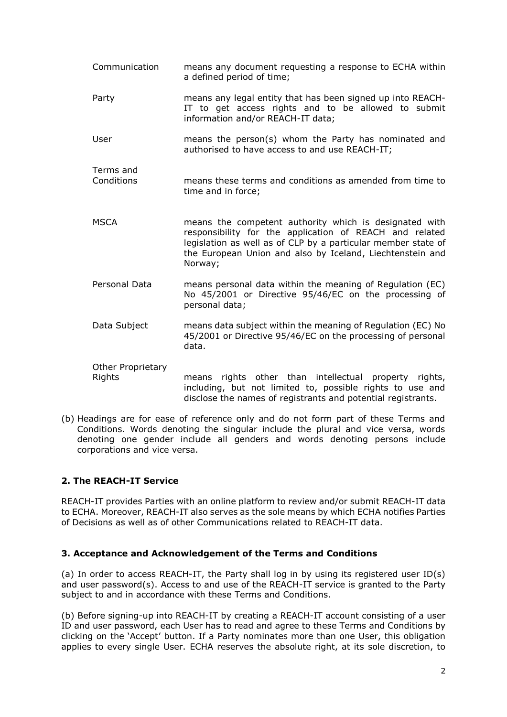- Communication means any document requesting a response to ECHA within a defined period of time; Party means any legal entity that has been signed up into REACH-IT to get access rights and to be allowed to submit information and/or REACH-IT data; User means the person(s) whom the Party has nominated and authorised to have access to and use REACH-IT; Terms and Conditions means these terms and conditions as amended from time to time and in force; MSCA means the competent authority which is designated with responsibility for the application of REACH and related legislation as well as of CLP by a particular member state of the European Union and also by Iceland, Liechtenstein and Norway; Personal Data means personal data within the meaning of Regulation (EC) No 45/2001 or Directive 95/46/EC on the processing of personal data; Data Subject means data subject within the meaning of Regulation (EC) No 45/2001 or Directive 95/46/EC on the processing of personal data. Other Proprietary Rights means rights other than intellectual property rights, including, but not limited to, possible rights to use and disclose the names of registrants and potential registrants.
- (b) Headings are for ease of reference only and do not form part of these Terms and Conditions. Words denoting the singular include the plural and vice versa, words denoting one gender include all genders and words denoting persons include corporations and vice versa.

# **2. The REACH-IT Service**

REACH-IT provides Parties with an online platform to review and/or submit REACH-IT data to ECHA. Moreover, REACH-IT also serves as the sole means by which ECHA notifies Parties of Decisions as well as of other Communications related to REACH-IT data.

## **3. Acceptance and Acknowledgement of the Terms and Conditions**

(a) In order to access REACH-IT, the Party shall log in by using its registered user ID(s) and user password(s). Access to and use of the REACH-IT service is granted to the Party subject to and in accordance with these Terms and Conditions.

(b) Before signing-up into REACH-IT by creating a REACH-IT account consisting of a user ID and user password, each User has to read and agree to these Terms and Conditions by clicking on the 'Accept' button. If a Party nominates more than one User, this obligation applies to every single User. ECHA reserves the absolute right, at its sole discretion, to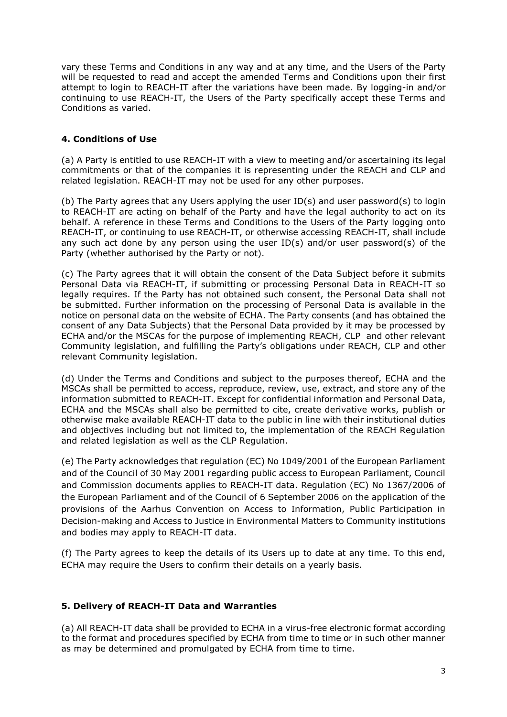vary these Terms and Conditions in any way and at any time, and the Users of the Party will be requested to read and accept the amended Terms and Conditions upon their first attempt to login to REACH-IT after the variations have been made. By logging-in and/or continuing to use REACH-IT, the Users of the Party specifically accept these Terms and Conditions as varied.

## **4. Conditions of Use**

(a) A Party is entitled to use REACH-IT with a view to meeting and/or ascertaining its legal commitments or that of the companies it is representing under the REACH and CLP and related legislation. REACH-IT may not be used for any other purposes.

(b) The Party agrees that any Users applying the user ID(s) and user password(s) to login to REACH-IT are acting on behalf of the Party and have the legal authority to act on its behalf. A reference in these Terms and Conditions to the Users of the Party logging onto REACH-IT, or continuing to use REACH-IT, or otherwise accessing REACH-IT, shall include any such act done by any person using the user ID(s) and/or user password(s) of the Party (whether authorised by the Party or not).

(c) The Party agrees that it will obtain the consent of the Data Subject before it submits Personal Data via REACH-IT, if submitting or processing Personal Data in REACH-IT so legally requires. If the Party has not obtained such consent, the Personal Data shall not be submitted. Further information on the processing of Personal Data is available in the notice on personal data on the website of ECHA. The Party consents (and has obtained the consent of any Data Subjects) that the Personal Data provided by it may be processed by ECHA and/or the MSCAs for the purpose of implementing REACH, CLP and other relevant Community legislation, and fulfilling the Party's obligations under REACH, CLP and other relevant Community legislation.

(d) Under the Terms and Conditions and subject to the purposes thereof, ECHA and the MSCAs shall be permitted to access, reproduce, review, use, extract, and store any of the information submitted to REACH-IT. Except for confidential information and Personal Data, ECHA and the MSCAs shall also be permitted to cite, create derivative works, publish or otherwise make available REACH-IT data to the public in line with their institutional duties and objectives including but not limited to, the implementation of the REACH Regulation and related legislation as well as the CLP Regulation.

(e) The Party acknowledges that regulation (EC) No 1049/2001 of the European Parliament and of the Council of 30 May 2001 regarding public access to European Parliament, Council and Commission documents applies to REACH-IT data. Regulation (EC) No 1367/2006 of the European Parliament and of the Council of 6 September 2006 on the application of the provisions of the Aarhus Convention on Access to Information, Public Participation in Decision-making and Access to Justice in Environmental Matters to Community institutions and bodies may apply to REACH-IT data.

(f) The Party agrees to keep the details of its Users up to date at any time. To this end, ECHA may require the Users to confirm their details on a yearly basis.

## **5. Delivery of REACH-IT Data and Warranties**

(a) All REACH-IT data shall be provided to ECHA in a virus-free electronic format according to the format and procedures specified by ECHA from time to time or in such other manner as may be determined and promulgated by ECHA from time to time.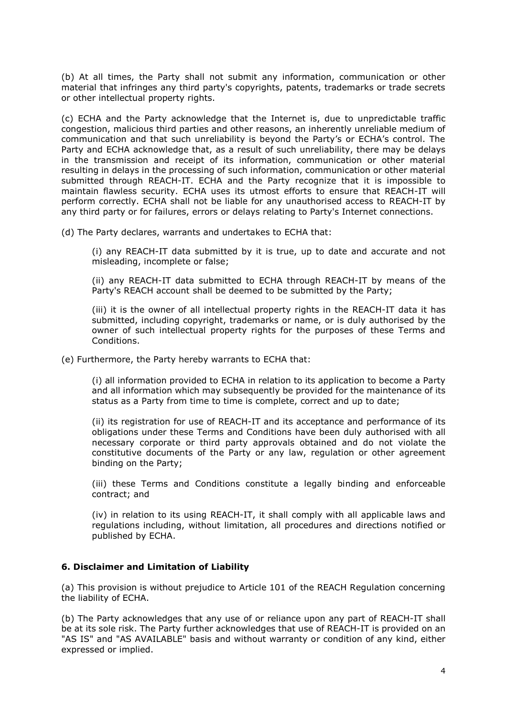(b) At all times, the Party shall not submit any information, communication or other material that infringes any third party's copyrights, patents, trademarks or trade secrets or other intellectual property rights.

(c) ECHA and the Party acknowledge that the Internet is, due to unpredictable traffic congestion, malicious third parties and other reasons, an inherently unreliable medium of communication and that such unreliability is beyond the Party's or ECHA's control. The Party and ECHA acknowledge that, as a result of such unreliability, there may be delays in the transmission and receipt of its information, communication or other material resulting in delays in the processing of such information, communication or other material submitted through REACH-IT. ECHA and the Party recognize that it is impossible to maintain flawless security. ECHA uses its utmost efforts to ensure that REACH-IT will perform correctly. ECHA shall not be liable for any unauthorised access to REACH-IT by any third party or for failures, errors or delays relating to Party's Internet connections.

(d) The Party declares, warrants and undertakes to ECHA that:

(i) any REACH-IT data submitted by it is true, up to date and accurate and not misleading, incomplete or false;

(ii) any REACH-IT data submitted to ECHA through REACH-IT by means of the Party's REACH account shall be deemed to be submitted by the Party;

(iii) it is the owner of all intellectual property rights in the REACH-IT data it has submitted, including copyright, trademarks or name, or is duly authorised by the owner of such intellectual property rights for the purposes of these Terms and Conditions.

(e) Furthermore, the Party hereby warrants to ECHA that:

(i) all information provided to ECHA in relation to its application to become a Party and all information which may subsequently be provided for the maintenance of its status as a Party from time to time is complete, correct and up to date;

(ii) its registration for use of REACH-IT and its acceptance and performance of its obligations under these Terms and Conditions have been duly authorised with all necessary corporate or third party approvals obtained and do not violate the constitutive documents of the Party or any law, regulation or other agreement binding on the Party;

(iii) these Terms and Conditions constitute a legally binding and enforceable contract; and

(iv) in relation to its using REACH-IT, it shall comply with all applicable laws and regulations including, without limitation, all procedures and directions notified or published by ECHA.

## **6. Disclaimer and Limitation of Liability**

(a) This provision is without prejudice to Article 101 of the REACH Regulation concerning the liability of ECHA.

(b) The Party acknowledges that any use of or reliance upon any part of REACH-IT shall be at its sole risk. The Party further acknowledges that use of REACH-IT is provided on an "AS IS" and "AS AVAILABLE" basis and without warranty or condition of any kind, either expressed or implied.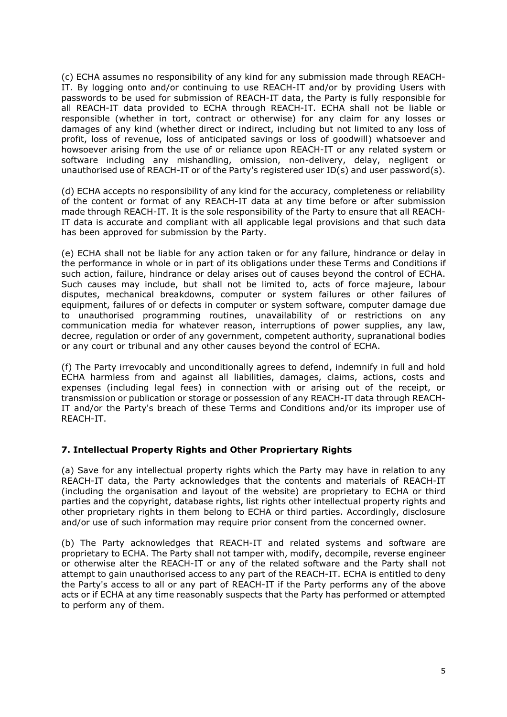(c) ECHA assumes no responsibility of any kind for any submission made through REACH-IT. By logging onto and/or continuing to use REACH-IT and/or by providing Users with passwords to be used for submission of REACH-IT data, the Party is fully responsible for all REACH-IT data provided to ECHA through REACH-IT. ECHA shall not be liable or responsible (whether in tort, contract or otherwise) for any claim for any losses or damages of any kind (whether direct or indirect, including but not limited to any loss of profit, loss of revenue, loss of anticipated savings or loss of goodwill) whatsoever and howsoever arising from the use of or reliance upon REACH-IT or any related system or software including any mishandling, omission, non-delivery, delay, negligent or unauthorised use of REACH-IT or of the Party's registered user ID(s) and user password(s).

(d) ECHA accepts no responsibility of any kind for the accuracy, completeness or reliability of the content or format of any REACH-IT data at any time before or after submission made through REACH-IT. It is the sole responsibility of the Party to ensure that all REACH-IT data is accurate and compliant with all applicable legal provisions and that such data has been approved for submission by the Party.

(e) ECHA shall not be liable for any action taken or for any failure, hindrance or delay in the performance in whole or in part of its obligations under these Terms and Conditions if such action, failure, hindrance or delay arises out of causes beyond the control of ECHA. Such causes may include, but shall not be limited to, acts of force majeure, labour disputes, mechanical breakdowns, computer or system failures or other failures of equipment, failures of or defects in computer or system software, computer damage due to unauthorised programming routines, unavailability of or restrictions on any communication media for whatever reason, interruptions of power supplies, any law, decree, regulation or order of any government, competent authority, supranational bodies or any court or tribunal and any other causes beyond the control of ECHA.

(f) The Party irrevocably and unconditionally agrees to defend, indemnify in full and hold ECHA harmless from and against all liabilities, damages, claims, actions, costs and expenses (including legal fees) in connection with or arising out of the receipt, or transmission or publication or storage or possession of any REACH-IT data through REACH-IT and/or the Party's breach of these Terms and Conditions and/or its improper use of REACH-IT.

## **7. Intellectual Property Rights and Other Propriertary Rights**

(a) Save for any intellectual property rights which the Party may have in relation to any REACH-IT data, the Party acknowledges that the contents and materials of REACH-IT (including the organisation and layout of the website) are proprietary to ECHA or third parties and the copyright, database rights, list rights other intellectual property rights and other proprietary rights in them belong to ECHA or third parties. Accordingly, disclosure and/or use of such information may require prior consent from the concerned owner.

(b) The Party acknowledges that REACH-IT and related systems and software are proprietary to ECHA. The Party shall not tamper with, modify, decompile, reverse engineer or otherwise alter the REACH-IT or any of the related software and the Party shall not attempt to gain unauthorised access to any part of the REACH-IT. ECHA is entitled to deny the Party's access to all or any part of REACH-IT if the Party performs any of the above acts or if ECHA at any time reasonably suspects that the Party has performed or attempted to perform any of them.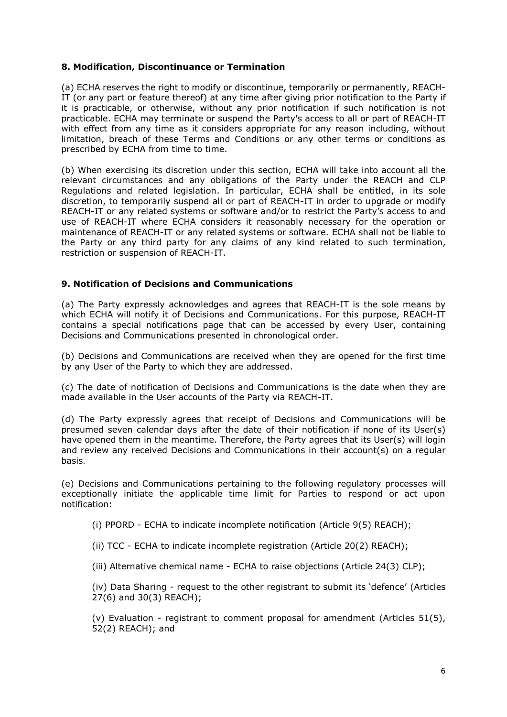#### **8. Modification, Discontinuance or Termination**

(a) ECHA reserves the right to modify or discontinue, temporarily or permanently, REACH-IT (or any part or feature thereof) at any time after giving prior notification to the Party if it is practicable, or otherwise, without any prior notification if such notification is not practicable. ECHA may terminate or suspend the Party's access to all or part of REACH-IT with effect from any time as it considers appropriate for any reason including, without limitation, breach of these Terms and Conditions or any other terms or conditions as prescribed by ECHA from time to time.

(b) When exercising its discretion under this section, ECHA will take into account all the relevant circumstances and any obligations of the Party under the REACH and CLP Regulations and related legislation. In particular, ECHA shall be entitled, in its sole discretion, to temporarily suspend all or part of REACH-IT in order to upgrade or modify REACH-IT or any related systems or software and/or to restrict the Party's access to and use of REACH-IT where ECHA considers it reasonably necessary for the operation or maintenance of REACH-IT or any related systems or software. ECHA shall not be liable to the Party or any third party for any claims of any kind related to such termination, restriction or suspension of REACH-IT.

#### **9. Notification of Decisions and Communications**

(a) The Party expressly acknowledges and agrees that REACH-IT is the sole means by which ECHA will notify it of Decisions and Communications. For this purpose, REACH-IT contains a special notifications page that can be accessed by every User, containing Decisions and Communications presented in chronological order.

(b) Decisions and Communications are received when they are opened for the first time by any User of the Party to which they are addressed.

(c) The date of notification of Decisions and Communications is the date when they are made available in the User accounts of the Party via REACH-IT.

(d) The Party expressly agrees that receipt of Decisions and Communications will be presumed seven calendar days after the date of their notification if none of its User(s) have opened them in the meantime. Therefore, the Party agrees that its User(s) will login and review any received Decisions and Communications in their account(s) on a regular basis.

(e) Decisions and Communications pertaining to the following regulatory processes will exceptionally initiate the applicable time limit for Parties to respond or act upon notification:

- (i) PPORD ECHA to indicate incomplete notification (Article 9(5) REACH);
- (ii) TCC ECHA to indicate incomplete registration (Article 20(2) REACH);
- (iii) Alternative chemical name ECHA to raise objections (Article 24(3) CLP);

(iv) Data Sharing - request to the other registrant to submit its 'defence' (Articles 27(6) and 30(3) REACH);

(v) Evaluation - registrant to comment proposal for amendment (Articles 51(5), 52(2) REACH); and